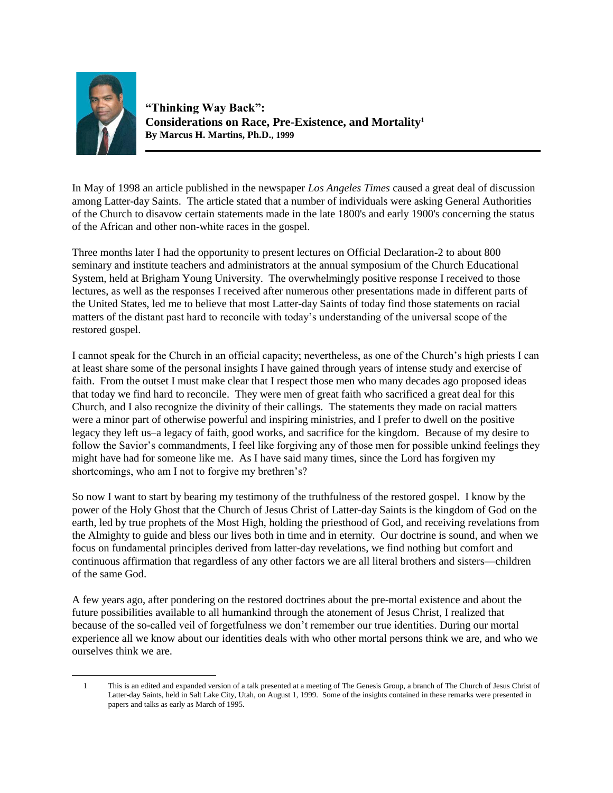

 $\overline{a}$ 

**"Thinking Way Back": Considerations on Race, Pre-Existence, and Mortality<sup>1</sup> By Marcus H. Martins, Ph.D., 1999**

In May of 1998 an article published in the newspaper *Los Angeles Times* caused a great deal of discussion among Latter-day Saints. The article stated that a number of individuals were asking General Authorities of the Church to disavow certain statements made in the late 1800's and early 1900's concerning the status of the African and other non-white races in the gospel.

Three months later I had the opportunity to present lectures on Official Declaration-2 to about 800 seminary and institute teachers and administrators at the annual symposium of the Church Educational System, held at Brigham Young University. The overwhelmingly positive response I received to those lectures, as well as the responses I received after numerous other presentations made in different parts of the United States, led me to believe that most Latter-day Saints of today find those statements on racial matters of the distant past hard to reconcile with today's understanding of the universal scope of the restored gospel.

I cannot speak for the Church in an official capacity; nevertheless, as one of the Church's high priests I can at least share some of the personal insights I have gained through years of intense study and exercise of faith. From the outset I must make clear that I respect those men who many decades ago proposed ideas that today we find hard to reconcile. They were men of great faith who sacrificed a great deal for this Church, and I also recognize the divinity of their callings. The statements they made on racial matters were a minor part of otherwise powerful and inspiring ministries, and I prefer to dwell on the positive legacy they left us–a legacy of faith, good works, and sacrifice for the kingdom. Because of my desire to follow the Savior's commandments, I feel like forgiving any of those men for possible unkind feelings they might have had for someone like me. As I have said many times, since the Lord has forgiven my shortcomings, who am I not to forgive my brethren's?

So now I want to start by bearing my testimony of the truthfulness of the restored gospel. I know by the power of the Holy Ghost that the Church of Jesus Christ of Latter-day Saints is the kingdom of God on the earth, led by true prophets of the Most High, holding the priesthood of God, and receiving revelations from the Almighty to guide and bless our lives both in time and in eternity. Our doctrine is sound, and when we focus on fundamental principles derived from latter-day revelations, we find nothing but comfort and continuous affirmation that regardless of any other factors we are all literal brothers and sisters—children of the same God.

A few years ago, after pondering on the restored doctrines about the pre-mortal existence and about the future possibilities available to all humankind through the atonement of Jesus Christ, I realized that because of the so-called veil of forgetfulness we don't remember our true identities. During our mortal experience all we know about our identities deals with who other mortal persons think we are, and who we ourselves think we are.

1 This is an edited and expanded version of a talk presented at a meeting of The Genesis Group, a branch of The Church of Jesus Christ of Latter-day Saints, held in Salt Lake City, Utah, on August 1, 1999. Some of the insights contained in these remarks were presented in papers and talks as early as March of 1995.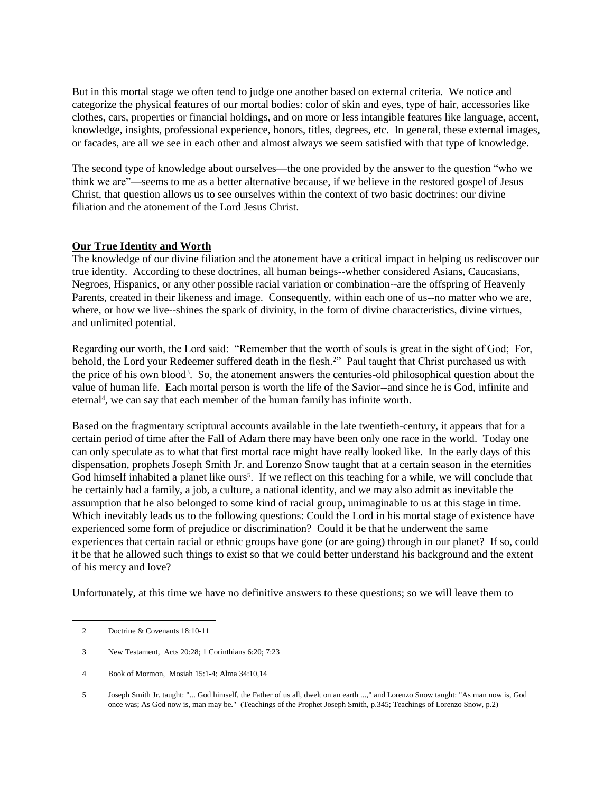But in this mortal stage we often tend to judge one another based on external criteria. We notice and categorize the physical features of our mortal bodies: color of skin and eyes, type of hair, accessories like clothes, cars, properties or financial holdings, and on more or less intangible features like language, accent, knowledge, insights, professional experience, honors, titles, degrees, etc. In general, these external images, or facades, are all we see in each other and almost always we seem satisfied with that type of knowledge.

The second type of knowledge about ourselves—the one provided by the answer to the question "who we think we are"—seems to me as a better alternative because, if we believe in the restored gospel of Jesus Christ, that question allows us to see ourselves within the context of two basic doctrines: our divine filiation and the atonement of the Lord Jesus Christ.

# **Our True Identity and Worth**

The knowledge of our divine filiation and the atonement have a critical impact in helping us rediscover our true identity. According to these doctrines, all human beings--whether considered Asians, Caucasians, Negroes, Hispanics, or any other possible racial variation or combination--are the offspring of Heavenly Parents, created in their likeness and image. Consequently, within each one of us--no matter who we are, where, or how we live--shines the spark of divinity, in the form of divine characteristics, divine virtues, and unlimited potential.

Regarding our worth, the Lord said: "Remember that the worth of souls is great in the sight of God; For, behold, the Lord your Redeemer suffered death in the flesh.<sup>2"</sup> Paul taught that Christ purchased us with the price of his own blood<sup>3</sup>. So, the atonement answers the centuries-old philosophical question about the value of human life. Each mortal person is worth the life of the Savior--and since he is God, infinite and eternal<sup>4</sup>, we can say that each member of the human family has infinite worth.

Based on the fragmentary scriptural accounts available in the late twentieth-century, it appears that for a certain period of time after the Fall of Adam there may have been only one race in the world. Today one can only speculate as to what that first mortal race might have really looked like. In the early days of this dispensation, prophets Joseph Smith Jr. and Lorenzo Snow taught that at a certain season in the eternities God himself inhabited a planet like ours<sup>5</sup>. If we reflect on this teaching for a while, we will conclude that he certainly had a family, a job, a culture, a national identity, and we may also admit as inevitable the assumption that he also belonged to some kind of racial group, unimaginable to us at this stage in time. Which inevitably leads us to the following questions: Could the Lord in his mortal stage of existence have experienced some form of prejudice or discrimination? Could it be that he underwent the same experiences that certain racial or ethnic groups have gone (or are going) through in our planet? If so, could it be that he allowed such things to exist so that we could better understand his background and the extent of his mercy and love?

Unfortunately, at this time we have no definitive answers to these questions; so we will leave them to

 <sup>2</sup> Doctrine & Covenants 18:10-11

 <sup>3</sup> New Testament, Acts 20:28; 1 Corinthians 6:20; 7:23

 <sup>4</sup> Book of Mormon, Mosiah 15:1-4; Alma 34:10,14

 <sup>5</sup> Joseph Smith Jr. taught: "... God himself, the Father of us all, dwelt on an earth ...," and Lorenzo Snow taught: "As man now is, God once was; As God now is, man may be." (Teachings of the Prophet Joseph Smith, p.345; Teachings of Lorenzo Snow, p.2)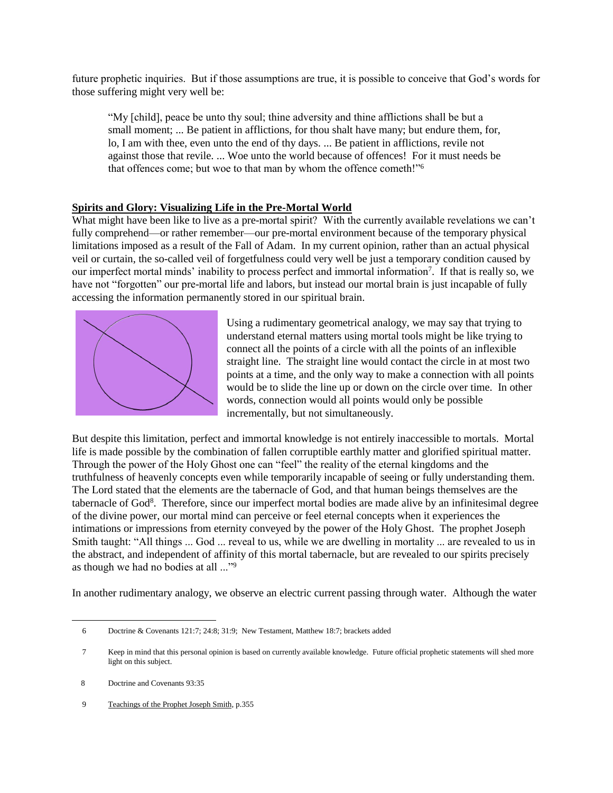future prophetic inquiries. But if those assumptions are true, it is possible to conceive that God's words for those suffering might very well be:

"My [child], peace be unto thy soul; thine adversity and thine afflictions shall be but a small moment; ... Be patient in afflictions, for thou shalt have many; but endure them, for, lo, I am with thee, even unto the end of thy days. ... Be patient in afflictions, revile not against those that revile. ... Woe unto the world because of offences! For it must needs be that offences come; but woe to that man by whom the offence cometh!"<sup>6</sup>

# **Spirits and Glory: Visualizing Life in the Pre-Mortal World**

What might have been like to live as a pre-mortal spirit? With the currently available revelations we can't fully comprehend—or rather remember—our pre-mortal environment because of the temporary physical limitations imposed as a result of the Fall of Adam. In my current opinion, rather than an actual physical veil or curtain, the so-called veil of forgetfulness could very well be just a temporary condition caused by our imperfect mortal minds' inability to process perfect and immortal information<sup>7</sup>. If that is really so, we have not "forgotten" our pre-mortal life and labors, but instead our mortal brain is just incapable of fully accessing the information permanently stored in our spiritual brain.



Using a rudimentary geometrical analogy, we may say that trying to understand eternal matters using mortal tools might be like trying to connect all the points of a circle with all the points of an inflexible straight line. The straight line would contact the circle in at most two points at a time, and the only way to make a connection with all points would be to slide the line up or down on the circle over time. In other words, connection would all points would only be possible incrementally, but not simultaneously.

But despite this limitation, perfect and immortal knowledge is not entirely inaccessible to mortals. Mortal life is made possible by the combination of fallen corruptible earthly matter and glorified spiritual matter. Through the power of the Holy Ghost one can "feel" the reality of the eternal kingdoms and the truthfulness of heavenly concepts even while temporarily incapable of seeing or fully understanding them. The Lord stated that the elements are the tabernacle of God, and that human beings themselves are the tabernacle of God<sup>8</sup>. Therefore, since our imperfect mortal bodies are made alive by an infinitesimal degree of the divine power, our mortal mind can perceive or feel eternal concepts when it experiences the intimations or impressions from eternity conveyed by the power of the Holy Ghost. The prophet Joseph Smith taught: "All things ... God ... reveal to us, while we are dwelling in mortality ... are revealed to us in the abstract, and independent of affinity of this mortal tabernacle, but are revealed to our spirits precisely as though we had no bodies at all ..."<sup>9</sup>

In another rudimentary analogy, we observe an electric current passing through water. Although the water

 $\overline{a}$ 

9 Teachings of the Prophet Joseph Smith, p.355

 <sup>6</sup> Doctrine & Covenants 121:7; 24:8; 31:9; New Testament, Matthew 18:7; brackets added

 <sup>7</sup> Keep in mind that this personal opinion is based on currently available knowledge. Future official prophetic statements will shed more light on this subject.

<sup>8</sup> Doctrine and Covenants 93:35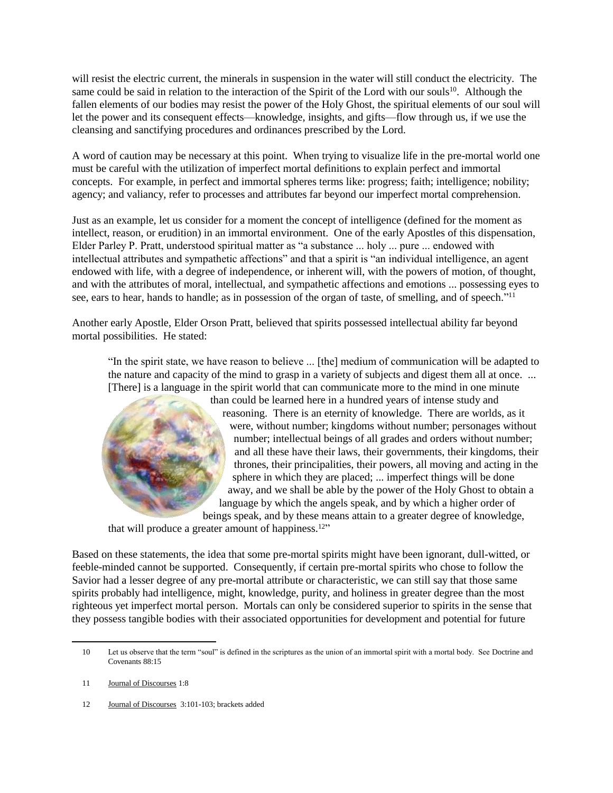will resist the electric current, the minerals in suspension in the water will still conduct the electricity. The same could be said in relation to the interaction of the Spirit of the Lord with our souls<sup>10</sup>. Although the fallen elements of our bodies may resist the power of the Holy Ghost, the spiritual elements of our soul will let the power and its consequent effects—knowledge, insights, and gifts—flow through us, if we use the cleansing and sanctifying procedures and ordinances prescribed by the Lord.

A word of caution may be necessary at this point. When trying to visualize life in the pre-mortal world one must be careful with the utilization of imperfect mortal definitions to explain perfect and immortal concepts. For example, in perfect and immortal spheres terms like: progress; faith; intelligence; nobility; agency; and valiancy, refer to processes and attributes far beyond our imperfect mortal comprehension.

Just as an example, let us consider for a moment the concept of intelligence (defined for the moment as intellect, reason, or erudition) in an immortal environment. One of the early Apostles of this dispensation, Elder Parley P. Pratt, understood spiritual matter as "a substance ... holy ... pure ... endowed with intellectual attributes and sympathetic affections" and that a spirit is "an individual intelligence, an agent endowed with life, with a degree of independence, or inherent will, with the powers of motion, of thought, and with the attributes of moral, intellectual, and sympathetic affections and emotions ... possessing eyes to see, ears to hear, hands to handle; as in possession of the organ of taste, of smelling, and of speech."<sup>11</sup>

Another early Apostle, Elder Orson Pratt, believed that spirits possessed intellectual ability far beyond mortal possibilities. He stated:

"In the spirit state, we have reason to believe ... [the] medium of communication will be adapted to the nature and capacity of the mind to grasp in a variety of subjects and digest them all at once. ... [There] is a language in the spirit world that can communicate more to the mind in one minute



than could be learned here in a hundred years of intense study and reasoning. There is an eternity of knowledge. There are worlds, as it were, without number; kingdoms without number; personages without number; intellectual beings of all grades and orders without number; and all these have their laws, their governments, their kingdoms, their thrones, their principalities, their powers, all moving and acting in the sphere in which they are placed; ... imperfect things will be done away, and we shall be able by the power of the Holy Ghost to obtain a language by which the angels speak, and by which a higher order of beings speak, and by these means attain to a greater degree of knowledge,

that will produce a greater amount of happiness.<sup>12"</sup>

Based on these statements, the idea that some pre-mortal spirits might have been ignorant, dull-witted, or feeble-minded cannot be supported. Consequently, if certain pre-mortal spirits who chose to follow the Savior had a lesser degree of any pre-mortal attribute or characteristic, we can still say that those same spirits probably had intelligence, might, knowledge, purity, and holiness in greater degree than the most righteous yet imperfect mortal person. Mortals can only be considered superior to spirits in the sense that they possess tangible bodies with their associated opportunities for development and potential for future

 $\overline{a}$ 

12 Journal of Discourses 3:101-103; brackets added

 <sup>10</sup> Let us observe that the term "soul" is defined in the scriptures as the union of an immortal spirit with a mortal body. See Doctrine and Covenants 88:15

 <sup>11</sup> Journal of Discourses 1:8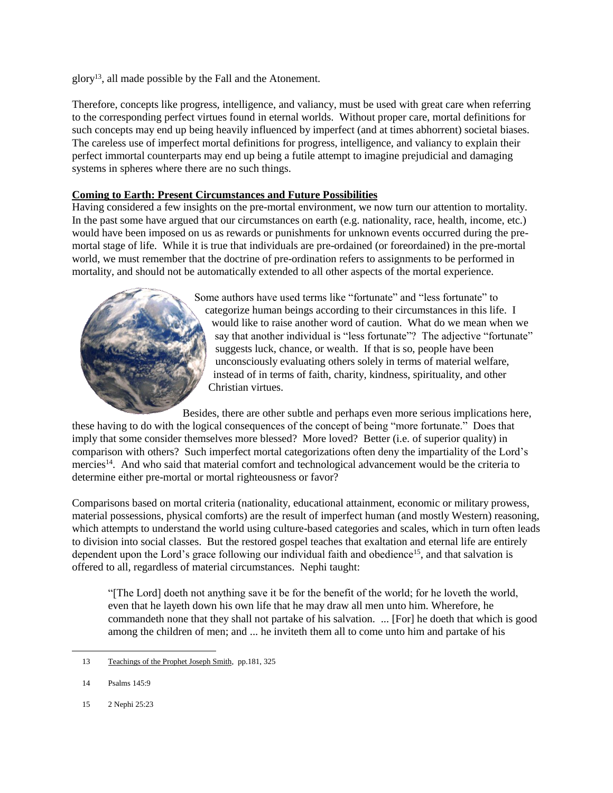glory<sup>13</sup>, all made possible by the Fall and the Atonement.

Therefore, concepts like progress, intelligence, and valiancy, must be used with great care when referring to the corresponding perfect virtues found in eternal worlds. Without proper care, mortal definitions for such concepts may end up being heavily influenced by imperfect (and at times abhorrent) societal biases. The careless use of imperfect mortal definitions for progress, intelligence, and valiancy to explain their perfect immortal counterparts may end up being a futile attempt to imagine prejudicial and damaging systems in spheres where there are no such things.

### **Coming to Earth: Present Circumstances and Future Possibilities**

Having considered a few insights on the pre-mortal environment, we now turn our attention to mortality. In the past some have argued that our circumstances on earth (e.g. nationality, race, health, income, etc.) would have been imposed on us as rewards or punishments for unknown events occurred during the premortal stage of life. While it is true that individuals are pre-ordained (or foreordained) in the pre-mortal world, we must remember that the doctrine of pre-ordination refers to assignments to be performed in mortality, and should not be automatically extended to all other aspects of the mortal experience.



Some authors have used terms like "fortunate" and "less fortunate" to categorize human beings according to their circumstances in this life. I would like to raise another word of caution. What do we mean when we say that another individual is "less fortunate"? The adjective "fortunate" suggests luck, chance, or wealth. If that is so, people have been unconsciously evaluating others solely in terms of material welfare, instead of in terms of faith, charity, kindness, spirituality, and other Christian virtues.

Besides, there are other subtle and perhaps even more serious implications here, these having to do with the logical consequences of the concept of being "more fortunate." Does that imply that some consider themselves more blessed? More loved? Better (i.e. of superior quality) in comparison with others? Such imperfect mortal categorizations often deny the impartiality of the Lord's mercies<sup>14</sup>. And who said that material comfort and technological advancement would be the criteria to determine either pre-mortal or mortal righteousness or favor?

Comparisons based on mortal criteria (nationality, educational attainment, economic or military prowess, material possessions, physical comforts) are the result of imperfect human (and mostly Western) reasoning, which attempts to understand the world using culture-based categories and scales, which in turn often leads to division into social classes. But the restored gospel teaches that exaltation and eternal life are entirely dependent upon the Lord's grace following our individual faith and obedience<sup>15</sup>, and that salvation is offered to all, regardless of material circumstances. Nephi taught:

"[The Lord] doeth not anything save it be for the benefit of the world; for he loveth the world, even that he layeth down his own life that he may draw all men unto him. Wherefore, he commandeth none that they shall not partake of his salvation. ... [For] he doeth that which is good among the children of men; and ... he inviteth them all to come unto him and partake of his

 $\overline{a}$ 

15 2 Nephi 25:23

<sup>13</sup> Teachings of the Prophet Joseph Smith, pp.181, 325

 <sup>14</sup> Psalms 145:9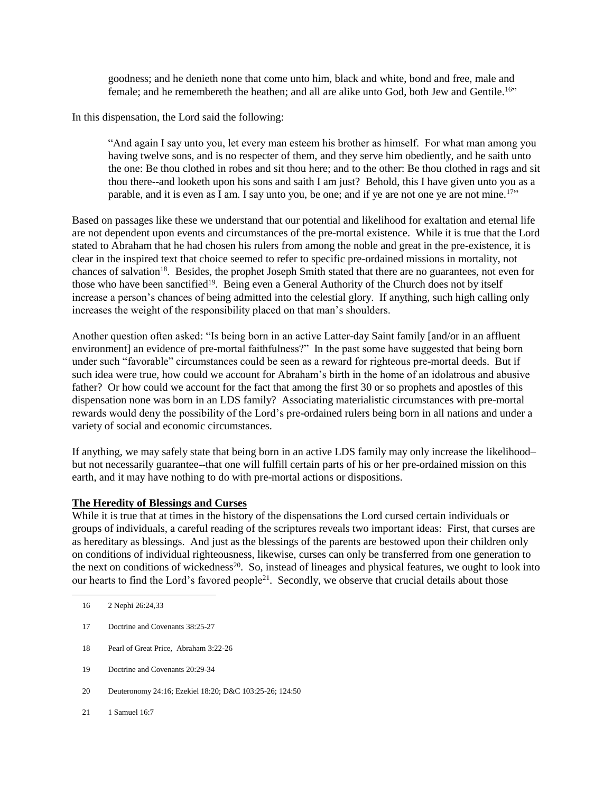goodness; and he denieth none that come unto him, black and white, bond and free, male and female; and he remembereth the heathen; and all are alike unto God, both Jew and Gentile.<sup>16"</sup>

In this dispensation, the Lord said the following:

"And again I say unto you, let every man esteem his brother as himself. For what man among you having twelve sons, and is no respecter of them, and they serve him obediently, and he saith unto the one: Be thou clothed in robes and sit thou here; and to the other: Be thou clothed in rags and sit thou there--and looketh upon his sons and saith I am just? Behold, this I have given unto you as a parable, and it is even as I am. I say unto you, be one; and if ye are not one ye are not mine.<sup>17"</sup>

Based on passages like these we understand that our potential and likelihood for exaltation and eternal life are not dependent upon events and circumstances of the pre-mortal existence. While it is true that the Lord stated to Abraham that he had chosen his rulers from among the noble and great in the pre-existence, it is clear in the inspired text that choice seemed to refer to specific pre-ordained missions in mortality, not chances of salvation<sup>18</sup>. Besides, the prophet Joseph Smith stated that there are no guarantees, not even for those who have been sanctified<sup>19</sup>. Being even a General Authority of the Church does not by itself increase a person's chances of being admitted into the celestial glory. If anything, such high calling only increases the weight of the responsibility placed on that man's shoulders.

Another question often asked: "Is being born in an active Latter-day Saint family [and/or in an affluent environment] an evidence of pre-mortal faithfulness?" In the past some have suggested that being born under such "favorable" circumstances could be seen as a reward for righteous pre-mortal deeds. But if such idea were true, how could we account for Abraham's birth in the home of an idolatrous and abusive father? Or how could we account for the fact that among the first 30 or so prophets and apostles of this dispensation none was born in an LDS family? Associating materialistic circumstances with pre-mortal rewards would deny the possibility of the Lord's pre-ordained rulers being born in all nations and under a variety of social and economic circumstances.

If anything, we may safely state that being born in an active LDS family may only increase the likelihood– but not necessarily guarantee--that one will fulfill certain parts of his or her pre-ordained mission on this earth, and it may have nothing to do with pre-mortal actions or dispositions.

#### **The Heredity of Blessings and Curses**

While it is true that at times in the history of the dispensations the Lord cursed certain individuals or groups of individuals, a careful reading of the scriptures reveals two important ideas: First, that curses are as hereditary as blessings. And just as the blessings of the parents are bestowed upon their children only on conditions of individual righteousness, likewise, curses can only be transferred from one generation to the next on conditions of wickedness<sup>20</sup>. So, instead of lineages and physical features, we ought to look into our hearts to find the Lord's favored people<sup>21</sup>. Secondly, we observe that crucial details about those

- 18 Pearl of Great Price, Abraham 3:22-26
- 19 Doctrine and Covenants 20:29-34
- 20 Deuteronomy 24:16; Ezekiel 18:20; D&C 103:25-26; 124:50
- 21 1 Samuel 16:7

 <sup>16 2</sup> Nephi 26:24,33

 <sup>17</sup> Doctrine and Covenants 38:25-27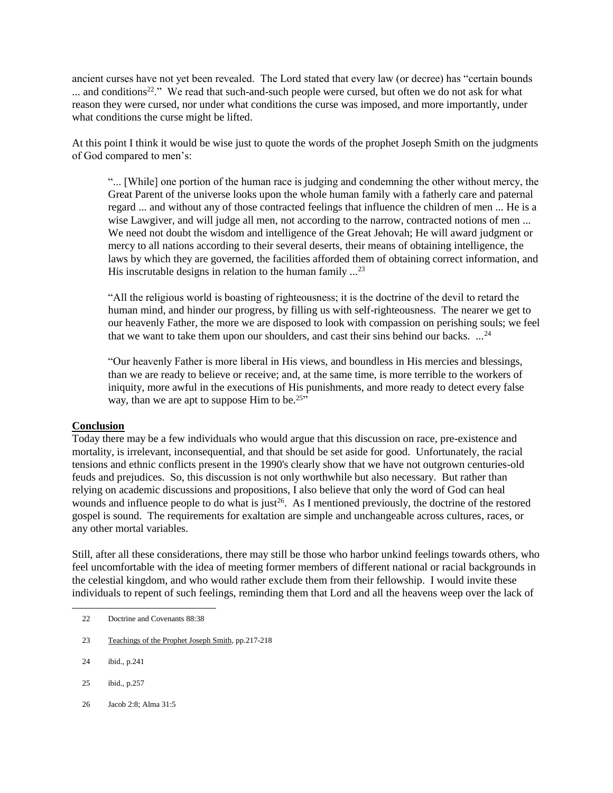ancient curses have not yet been revealed. The Lord stated that every law (or decree) has "certain bounds ... and conditions<sup>22</sup>." We read that such-and-such people were cursed, but often we do not ask for what reason they were cursed, nor under what conditions the curse was imposed, and more importantly, under what conditions the curse might be lifted.

At this point I think it would be wise just to quote the words of the prophet Joseph Smith on the judgments of God compared to men's:

"... [While] one portion of the human race is judging and condemning the other without mercy, the Great Parent of the universe looks upon the whole human family with a fatherly care and paternal regard ... and without any of those contracted feelings that influence the children of men ... He is a wise Lawgiver, and will judge all men, not according to the narrow, contracted notions of men ... We need not doubt the wisdom and intelligence of the Great Jehovah; He will award judgment or mercy to all nations according to their several deserts, their means of obtaining intelligence, the laws by which they are governed, the facilities afforded them of obtaining correct information, and His inscrutable designs in relation to the human family  $\ldots^{23}$ 

"All the religious world is boasting of righteousness; it is the doctrine of the devil to retard the human mind, and hinder our progress, by filling us with self-righteousness. The nearer we get to our heavenly Father, the more we are disposed to look with compassion on perishing souls; we feel that we want to take them upon our shoulders, and cast their sins behind our backs. ...<sup>24</sup>

"Our heavenly Father is more liberal in His views, and boundless in His mercies and blessings, than we are ready to believe or receive; and, at the same time, is more terrible to the workers of iniquity, more awful in the executions of His punishments, and more ready to detect every false way, than we are apt to suppose Him to be.<sup>25"</sup>

### **Conclusion**

Today there may be a few individuals who would argue that this discussion on race, pre-existence and mortality, is irrelevant, inconsequential, and that should be set aside for good. Unfortunately, the racial tensions and ethnic conflicts present in the 1990's clearly show that we have not outgrown centuries-old feuds and prejudices. So, this discussion is not only worthwhile but also necessary. But rather than relying on academic discussions and propositions, I also believe that only the word of God can heal wounds and influence people to do what is just<sup>26</sup>. As I mentioned previously, the doctrine of the restored gospel is sound. The requirements for exaltation are simple and unchangeable across cultures, races, or any other mortal variables.

Still, after all these considerations, there may still be those who harbor unkind feelings towards others, who feel uncomfortable with the idea of meeting former members of different national or racial backgrounds in the celestial kingdom, and who would rather exclude them from their fellowship. I would invite these individuals to repent of such feelings, reminding them that Lord and all the heavens weep over the lack of

- 23 Teachings of the Prophet Joseph Smith, pp.217-218
- 24 ibid., p.241

- 25 ibid., p.257
- 26 Jacob 2:8; Alma 31:5

 <sup>22</sup> Doctrine and Covenants 88:38